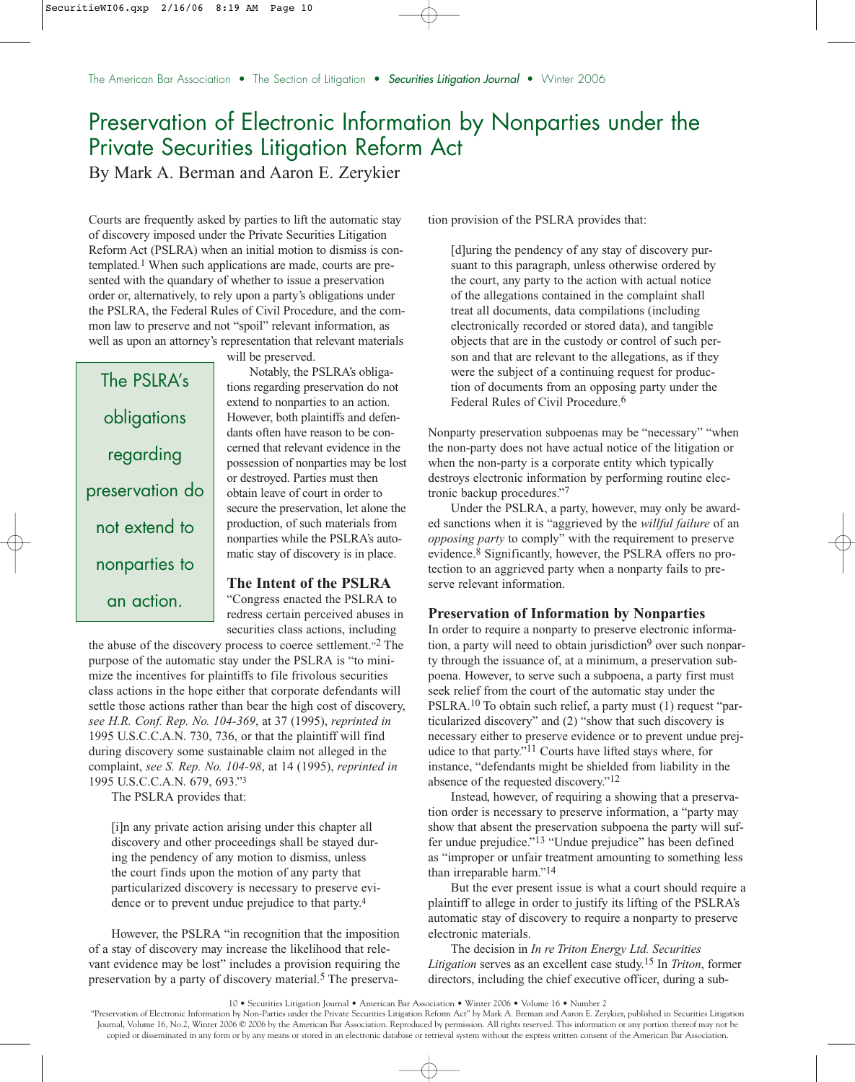# Preservation of Electronic Information by Nonparties under the Private Securities Litigation Reform Act

By Mark A. Berman and Aaron E. Zerykier

Courts are frequently asked by parties to lift the automatic stay of discovery imposed under the Private Securities Litigation Reform Act (PSLRA) when an initial motion to dismiss is contemplated.1 When such applications are made, courts are presented with the quandary of whether to issue a preservation order or, alternatively, to rely upon a party's obligations under the PSLRA, the Federal Rules of Civil Procedure, and the common law to preserve and not "spoil" relevant information, as well as upon an attorney's representation that relevant materials

The PSLRA's obligations regarding preservation do not extend to nonparties to an action.

will be preserved.

Notably, the PSLRA's obligations regarding preservation do not extend to nonparties to an action. However, both plaintiffs and defendants often have reason to be concerned that relevant evidence in the possession of nonparties may be lost or destroyed. Parties must then obtain leave of court in order to secure the preservation, let alone the production, of such materials from nonparties while the PSLRA's automatic stay of discovery is in place.

## **The Intent of the PSLRA**

"Congress enacted the PSLRA to redress certain perceived abuses in securities class actions, including

the abuse of the discovery process to coerce settlement."2 The purpose of the automatic stay under the PSLRA is "to minimize the incentives for plaintiffs to file frivolous securities class actions in the hope either that corporate defendants will settle those actions rather than bear the high cost of discovery, *see H.R. Conf. Rep. No. 104-369*, at 37 (1995), *reprinted in* 1995 U.S.C.C.A.N. 730, 736, or that the plaintiff will find during discovery some sustainable claim not alleged in the complaint, *see S. Rep. No. 104-98*, at 14 (1995), *reprinted in* 1995 U.S.C.C.A.N. 679, 693."3

The PSLRA provides that:

[i]n any private action arising under this chapter all discovery and other proceedings shall be stayed during the pendency of any motion to dismiss, unless the court finds upon the motion of any party that particularized discovery is necessary to preserve evidence or to prevent undue prejudice to that party.4

However, the PSLRA "in recognition that the imposition of a stay of discovery may increase the likelihood that relevant evidence may be lost" includes a provision requiring the preservation by a party of discovery material.<sup>5</sup> The preservation provision of the PSLRA provides that:

[d]uring the pendency of any stay of discovery pursuant to this paragraph, unless otherwise ordered by the court, any party to the action with actual notice of the allegations contained in the complaint shall treat all documents, data compilations (including electronically recorded or stored data), and tangible objects that are in the custody or control of such person and that are relevant to the allegations, as if they were the subject of a continuing request for production of documents from an opposing party under the Federal Rules of Civil Procedure.<sup>6</sup>

Nonparty preservation subpoenas may be "necessary" "when the non-party does not have actual notice of the litigation or when the non-party is a corporate entity which typically destroys electronic information by performing routine electronic backup procedures."7

Under the PSLRA, a party, however, may only be awarded sanctions when it is "aggrieved by the *willful failure* of an *opposing party* to comply" with the requirement to preserve evidence.8 Significantly, however, the PSLRA offers no protection to an aggrieved party when a nonparty fails to preserve relevant information.

### **Preservation of Information by Nonparties**

In order to require a nonparty to preserve electronic information, a party will need to obtain jurisdiction<sup>9</sup> over such nonparty through the issuance of, at a minimum, a preservation subpoena. However, to serve such a subpoena, a party first must seek relief from the court of the automatic stay under the PSLRA.10 To obtain such relief, a party must (1) request "particularized discovery" and (2) "show that such discovery is necessary either to preserve evidence or to prevent undue prejudice to that party."11 Courts have lifted stays where, for instance, "defendants might be shielded from liability in the absence of the requested discovery."12

Instead, however, of requiring a showing that a preservation order is necessary to preserve information, a "party may show that absent the preservation subpoena the party will suffer undue prejudice."13 "Undue prejudice" has been defined as "improper or unfair treatment amounting to something less than irreparable harm."14

But the ever present issue is what a court should require a plaintiff to allege in order to justify its lifting of the PSLRA's automatic stay of discovery to require a nonparty to preserve electronic materials.

The decision in *In re Triton Energy Ltd. Securities Litigation* serves as an excellent case study.15 In *Triton*, former directors, including the chief executive officer, during a sub-

"Preservation of Electronic Information by Non-Parties under the Private Securities Litigation Reform Act" by Mark A. Breman and Aaron E. Zerykier, published in Securities Litigation Journal, Volume 16, No.2, Winter 2006 © 2006 by the American Bar Association. Reproduced by permission. All rights reserved. This information or any portion thereof may not be copied or disseminated in any form or by any means or stored in an electronic database or retrieval system without the express written consent of the American Bar Association.

<sup>10 •</sup> Securities Litigation Journal • American Bar Association • Winter 2006 • Volume 16 • Number 2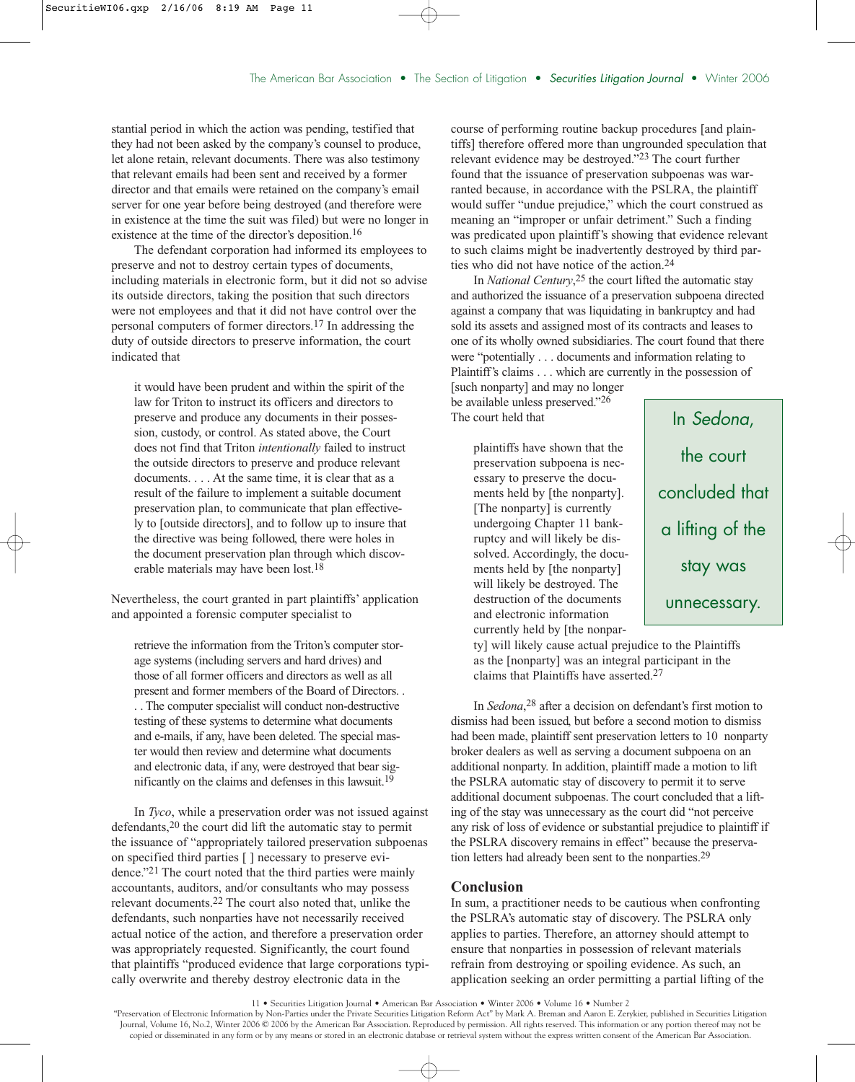stantial period in which the action was pending, testified that they had not been asked by the company's counsel to produce, let alone retain, relevant documents. There was also testimony that relevant emails had been sent and received by a former director and that emails were retained on the company's email server for one year before being destroyed (and therefore were in existence at the time the suit was filed) but were no longer in existence at the time of the director's deposition.<sup>16</sup>

The defendant corporation had informed its employees to preserve and not to destroy certain types of documents, including materials in electronic form, but it did not so advise its outside directors, taking the position that such directors were not employees and that it did not have control over the personal computers of former directors.17 In addressing the duty of outside directors to preserve information, the court indicated that

it would have been prudent and within the spirit of the law for Triton to instruct its officers and directors to preserve and produce any documents in their possession, custody, or control. As stated above, the Court does not find that Triton *intentionally* failed to instruct the outside directors to preserve and produce relevant documents. . . . At the same time, it is clear that as a result of the failure to implement a suitable document preservation plan, to communicate that plan effectively to [outside directors], and to follow up to insure that the directive was being followed, there were holes in the document preservation plan through which discoverable materials may have been lost.18

Nevertheless, the court granted in part plaintiffs' application and appointed a forensic computer specialist to

retrieve the information from the Triton's computer storage systems (including servers and hard drives) and those of all former officers and directors as well as all present and former members of the Board of Directors. . . . The computer specialist will conduct non-destructive testing of these systems to determine what documents and e-mails, if any, have been deleted. The special master would then review and determine what documents and electronic data, if any, were destroyed that bear significantly on the claims and defenses in this lawsuit.19

In *Tyco*, while a preservation order was not issued against defendants,<sup>20</sup> the court did lift the automatic stay to permit the issuance of "appropriately tailored preservation subpoenas on specified third parties [ ] necessary to preserve evidence."21 The court noted that the third parties were mainly accountants, auditors, and/or consultants who may possess relevant documents.22 The court also noted that, unlike the defendants, such nonparties have not necessarily received actual notice of the action, and therefore a preservation order was appropriately requested. Significantly, the court found that plaintiffs "produced evidence that large corporations typically overwrite and thereby destroy electronic data in the

course of performing routine backup procedures [and plaintiffs] therefore offered more than ungrounded speculation that relevant evidence may be destroyed."23 The court further found that the issuance of preservation subpoenas was warranted because, in accordance with the PSLRA, the plaintiff would suffer "undue prejudice," which the court construed as meaning an "improper or unfair detriment." Such a finding was predicated upon plaintiff's showing that evidence relevant to such claims might be inadvertently destroyed by third parties who did not have notice of the action.24

In *National Century*, 25 the court lifted the automatic stay and authorized the issuance of a preservation subpoena directed against a company that was liquidating in bankruptcy and had sold its assets and assigned most of its contracts and leases to one of its wholly owned subsidiaries. The court found that there were "potentially . . . documents and information relating to Plaintiff's claims . . . which are currently in the possession of

[such nonparty] and may no longer be available unless preserved."26 The court held that

> plaintiffs have shown that the preservation subpoena is necessary to preserve the documents held by [the nonparty]. [The nonparty] is currently undergoing Chapter 11 bankruptcy and will likely be dissolved. Accordingly, the documents held by [the nonparty] will likely be destroyed. The destruction of the documents and electronic information currently held by [the nonpar-

In Sedona, the court concluded that a lifting of the stay was unnecessary.

ty] will likely cause actual prejudice to the Plaintiffs as the [nonparty] was an integral participant in the claims that Plaintiffs have asserted.27

In *Sedona*, 28 after a decision on defendant's first motion to dismiss had been issued, but before a second motion to dismiss had been made, plaintiff sent preservation letters to 10 nonparty broker dealers as well as serving a document subpoena on an additional nonparty. In addition, plaintiff made a motion to lift the PSLRA automatic stay of discovery to permit it to serve additional document subpoenas. The court concluded that a lifting of the stay was unnecessary as the court did "not perceive any risk of loss of evidence or substantial prejudice to plaintiff if the PSLRA discovery remains in effect" because the preservation letters had already been sent to the nonparties.29

## **Conclusion**

In sum, a practitioner needs to be cautious when confronting the PSLRA's automatic stay of discovery. The PSLRA only applies to parties. Therefore, an attorney should attempt to ensure that nonparties in possession of relevant materials refrain from destroying or spoiling evidence. As such, an application seeking an order permitting a partial lifting of the

"Preservation of Electronic Information by Non-Parties under the Private Securities Litigation Reform Act" by Mark A. Breman and Aaron E. Zerykier, published in Securities Litigation Journal, Volume 16, No.2, Winter 2006 © 2006 by the American Bar Association. Reproduced by permission. All rights reserved. This information or any portion thereof may not be copied or disseminated in any form or by any means or stored in an electronic database or retrieval system without the express written consent of the American Bar Association.

<sup>11 •</sup> Securities Litigation Journal • American Bar Association • Winter 2006 • Volume 16 • Number 2